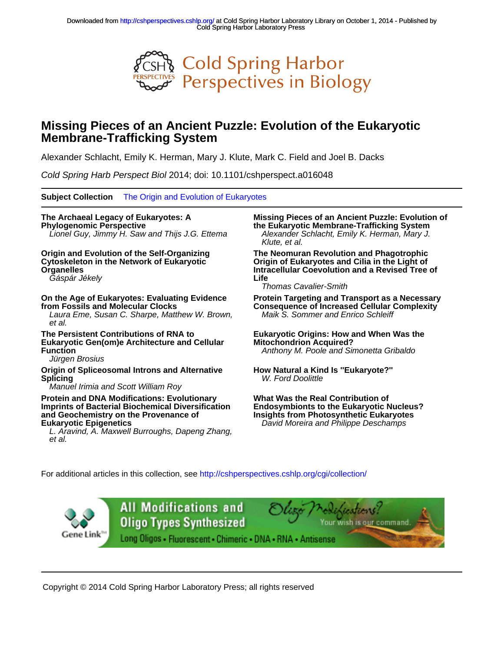

# **Membrane-Trafficking System Missing Pieces of an Ancient Puzzle: Evolution of the Eukaryotic**

Alexander Schlacht, Emily K. Herman, Mary J. Klute, Mark C. Field and Joel B. Dacks

Cold Spring Harb Perspect Biol 2014; doi: 10.1101/cshperspect.a016048

**Subject Collection** [The Origin and Evolution of Eukaryotes](http://cshperspectives.cshlp.org/cgi/collection/)

**Phylogenomic Perspective The Archaeal Legacy of Eukaryotes: A**

Lionel Guy, Jimmy H. Saw and Thijs J.G. Ettema

**Organelles Cytoskeleton in the Network of Eukaryotic Origin and Evolution of the Self-Organizing** Gáspár Jékely **Life**

**from Fossils and Molecular Clocks On the Age of Eukaryotes: Evaluating Evidence**

et al. Laura Eme, Susan C. Sharpe, Matthew W. Brown,

**Function Eukaryotic Gen(om)e Architecture and Cellular The Persistent Contributions of RNA to**

Jürgen Brosius

**Splicing Origin of Spliceosomal Introns and Alternative**

Manuel Irimia and Scott William Roy

**Eukaryotic Epigenetics and Geochemistry on the Provenance of Imprints of Bacterial Biochemical Diversification Protein and DNA Modifications: Evolutionary**

et al. L. Aravind, A. Maxwell Burroughs, Dapeng Zhang, **the Eukaryotic Membrane-Trafficking System Missing Pieces of an Ancient Puzzle: Evolution of** Klute, et al. Alexander Schlacht, Emily K. Herman, Mary J.

**Intracellular Coevolution and a Revised Tree of Origin of Eukaryotes and Cilia in the Light of The Neomuran Revolution and Phagotrophic**

Thomas Cavalier-Smith

**Consequence of Increased Cellular Complexity Protein Targeting and Transport as a Necessary** Maik S. Sommer and Enrico Schleiff

**Mitochondrion Acquired? Eukaryotic Origins: How and When Was the** Anthony M. Poole and Simonetta Gribaldo

**How Natural a Kind Is ''Eukaryote?''** W. Ford Doolittle

**Insights from Photosynthetic Eukaryotes Endosymbionts to the Eukaryotic Nucleus? What Was the Real Contribution of** David Moreira and Philippe Deschamps

For additional articles in this collection, see<http://cshperspectives.cshlp.org/cgi/collection/>



Copyright © 2014 Cold Spring Harbor Laboratory Press; all rights reserved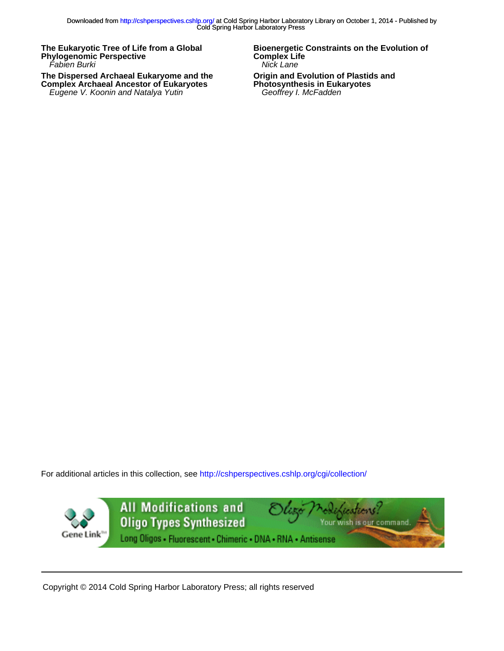**Phylogenomic Perspective The Eukaryotic Tree of Life from a Global** Fabien Burki

**Complex Archaeal Ancestor of Eukaryotes The Dispersed Archaeal Eukaryome and the** Eugene V. Koonin and Natalya Yutin

**Complex Life Bioenergetic Constraints on the Evolution of** Nick Lane

**Photosynthesis in Eukaryotes Origin and Evolution of Plastids and** Geoffrey I. McFadden

For additional articles in this collection, see<http://cshperspectives.cshlp.org/cgi/collection/>



Copyright © 2014 Cold Spring Harbor Laboratory Press; all rights reserved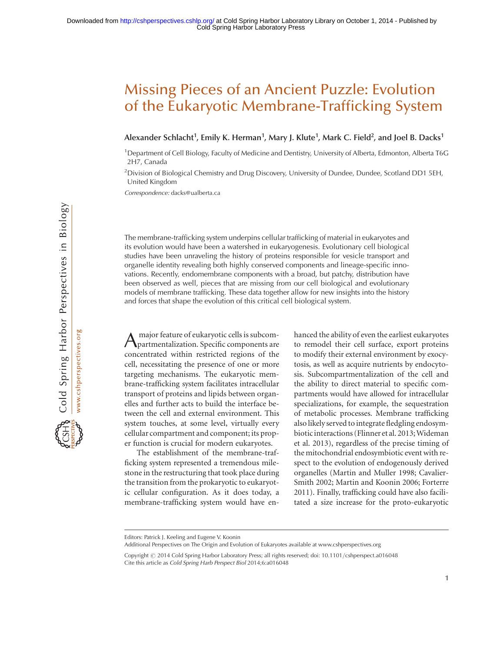# Missing Pieces of an Ancient Puzzle: Evolution of the Eukaryotic Membrane-Trafficking System

# Alexander Schlacht<sup>1</sup>, Emily K. Herman<sup>1</sup>, Mary J. Klute<sup>1</sup>, Mark C. Field<sup>2</sup>, and Joel B. Dacks<sup>1</sup>

<sup>1</sup>Department of Cell Biology, Faculty of Medicine and Dentistry, University of Alberta, Edmonton, Alberta T6G 2H7, Canada

<sup>2</sup>Division of Biological Chemistry and Drug Discovery, University of Dundee, Dundee, Scotland DD1 5EH, United Kingdom

Correspondence: dacks@ualberta.ca

The membrane-trafficking system underpins cellular trafficking of material in eukaryotes and its evolution would have been a watershed in eukaryogenesis. Evolutionary cell biological studies have been unraveling the history of proteins responsible for vesicle transport and organelle identity revealing both highly conserved components and lineage-specific innovations. Recently, endomembrane components with a broad, but patchy, distribution have been observed as well, pieces that are missing from our cell biological and evolutionary models of membrane trafficking. These data together allow for new insights into the history and forces that shape the evolution of this critical cell biological system.

major feature of eukaryotic cells is subcompartmentalization. Specific components are concentrated within restricted regions of the cell, necessitating the presence of one or more targeting mechanisms. The eukaryotic membrane-trafficking system facilitates intracellular transport of proteins and lipids between organelles and further acts to build the interface between the cell and external environment. This system touches, at some level, virtually every cellular compartment and component; its proper function is crucial for modern eukaryotes.

The establishment of the membrane-trafficking system represented a tremendous milestone in the restructuring that took place during the transition from the prokaryotic to eukaryotic cellular configuration. As it does today, a membrane-trafficking system would have enhanced the ability of even the earliest eukaryotes to remodel their cell surface, export proteins to modify their external environment by exocytosis, as well as acquire nutrients by endocytosis. Subcompartmentalization of the cell and the ability to direct material to specific compartments would have allowed for intracellular specializations, for example, the sequestration of metabolic processes. Membrane trafficking also likely served to integrate fledgling endosymbioticinteractions (Flinner et al. 2013;Wideman et al. 2013), regardless of the precise timing of the mitochondrial endosymbiotic event with respect to the evolution of endogenously derived organelles (Martin and Muller 1998; Cavalier-Smith 2002; Martin and Koonin 2006; Forterre 2011). Finally, trafficking could have also facilitated a size increase for the proto-eukaryotic

Editors: Patrick J. Keeling and Eugene V. Koonin

Additional Perspectives on The Origin and Evolution of Eukaryotes available at www.cshperspectives.org

Copyright @ 2014 Cold Spring Harbor Laboratory Press; all rights reserved; doi: 10.1101/cshperspect.a016048 Cite this article as Cold Spring Harb Perspect Biol 2014;6:a016048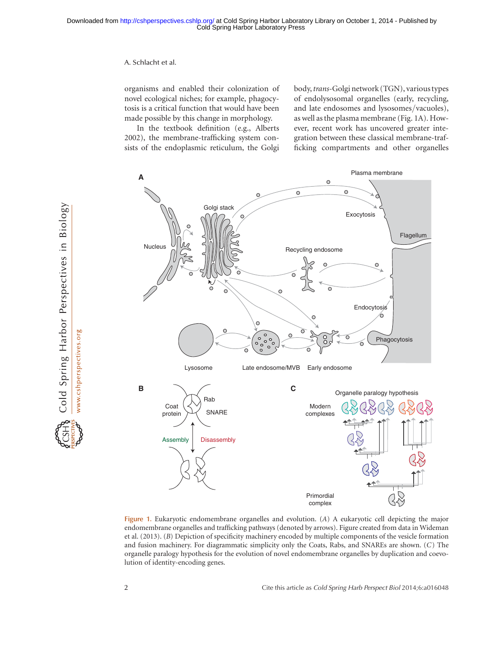#### Cold Spring Harbor Laboratory Press Downloaded from<http://cshperspectives.cshlp.org/>at Cold Spring Harbor Laboratory Library on October 1, 2014 - Published by

#### A. Schlacht et al.

organisms and enabled their colonization of novel ecological niches; for example, phagocytosis is a critical function that would have been made possible by this change in morphology.

In the textbook definition (e.g., Alberts 2002), the membrane-trafficking system consists of the endoplasmic reticulum, the Golgi body, trans-Golgi network (TGN), various types of endolysosomal organelles (early, recycling, and late endosomes and lysosomes/vacuoles), as well as the plasma membrane (Fig. 1A). However, recent work has uncovered greater integration between these classical membrane-trafficking compartments and other organelles



Figure 1. Eukaryotic endomembrane organelles and evolution. (A) A eukaryotic cell depicting the major endomembrane organelles and trafficking pathways (denoted by arrows). Figure created from data in Wideman et al. (2013). (B) Depiction of specificity machinery encoded by multiple components of the vesicle formation and fusion machinery. For diagrammatic simplicity only the Coats, Rabs, and SNAREs are shown. (C) The organelle paralogy hypothesis for the evolution of novel endomembrane organelles by duplication and coevolution of identity-encoding genes.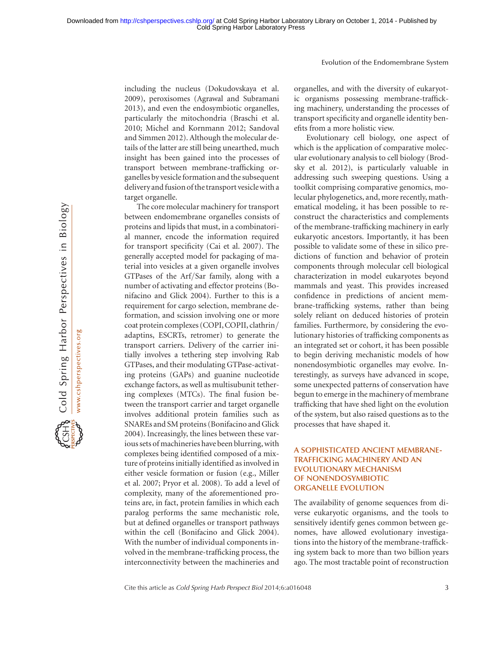including the nucleus (Dokudovskaya et al. 2009), peroxisomes (Agrawal and Subramani 2013), and even the endosymbiotic organelles, particularly the mitochondria (Braschi et al. 2010; Michel and Kornmann 2012; Sandoval and Simmen 2012). Although the molecular details of the latter are still being unearthed, much insight has been gained into the processes of transport between membrane-trafficking organelles by vesicle formation and the subsequent delivery and fusion of the transport vesicle with a target organelle.

The core molecular machinery for transport between endomembrane organelles consists of proteins and lipids that must, in a combinatorial manner, encode the information required for transport specificity (Cai et al. 2007). The generally accepted model for packaging of material into vesicles at a given organelle involves GTPases of the Arf/Sar family, along with a number of activating and effector proteins (Bonifacino and Glick 2004). Further to this is a requirement for cargo selection, membrane deformation, and scission involving one or more coat protein complexes (COPI, COPII, clathrin/ adaptins, ESCRTs, retromer) to generate the transport carriers. Delivery of the carrier initially involves a tethering step involving Rab GTPases, and their modulating GTPase-activating proteins (GAPs) and guanine nucleotide exchange factors, as well as multisubunit tethering complexes (MTCs). The final fusion between the transport carrier and target organelle involves additional protein families such as SNAREs and SM proteins (Bonifacino and Glick 2004). Increasingly, the lines between these various sets of machineries have been blurring, with complexes being identified composed of a mixture of proteins initially identified as involved in either vesicle formation or fusion (e.g., Miller et al. 2007; Pryor et al. 2008). To add a level of complexity, many of the aforementioned proteins are, in fact, protein families in which each paralog performs the same mechanistic role, but at defined organelles or transport pathways within the cell (Bonifacino and Glick 2004). With the number of individual components involved in the membrane-trafficking process, the interconnectivity between the machineries and

organelles, and with the diversity of eukaryotic organisms possessing membrane-trafficking machinery, understanding the processes of transport specificity and organelle identity benefits from a more holistic view.

Evolutionary cell biology, one aspect of which is the application of comparative molecular evolutionary analysis to cell biology (Brodsky et al. 2012), is particularly valuable in addressing such sweeping questions. Using a toolkit comprising comparative genomics, molecular phylogenetics, and, more recently, mathematical modeling, it has been possible to reconstruct the characteristics and complements of the membrane-trafficking machinery in early eukaryotic ancestors. Importantly, it has been possible to validate some of these in silico predictions of function and behavior of protein components through molecular cell biological characterization in model eukaryotes beyond mammals and yeast. This provides increased confidence in predictions of ancient membrane-trafficking systems, rather than being solely reliant on deduced histories of protein families. Furthermore, by considering the evolutionary histories of trafficking components as an integrated set or cohort, it has been possible to begin deriving mechanistic models of how nonendosymbiotic organelles may evolve. Interestingly, as surveys have advanced in scope, some unexpected patterns of conservation have begun to emerge in the machinery of membrane trafficking that have shed light on the evolution of the system, but also raised questions as to the processes that have shaped it.

# A SOPHISTICATED ANCIENT MEMBRANE-TRAFFICKING MACHINERY AND AN EVOLUTIONARY MECHANISM OF NONENDOSYMBIOTIC ORGANELLE EVOLUTION

The availability of genome sequences from diverse eukaryotic organisms, and the tools to sensitively identify genes common between genomes, have allowed evolutionary investigations into the history of the membrane-trafficking system back to more than two billion years ago. The most tractable point of reconstruction

Cite this article as Cold Spring Harb Perspect Biol 2014;6:a016048 3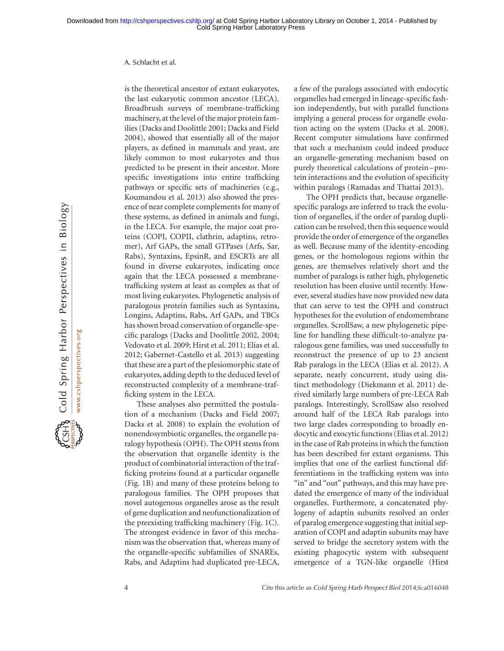is the theoretical ancestor of extant eukaryotes, the last eukaryotic common ancestor (LECA). Broadbrush surveys of membrane-trafficking machinery, at the level of the major protein families (Dacks and Doolittle 2001; Dacks and Field 2004), showed that essentially all of the major players, as defined in mammals and yeast, are likely common to most eukaryotes and thus predicted to be present in their ancestor. More specific investigations into entire trafficking pathways or specific sets of machineries (e.g., Koumandou et al. 2013) also showed the presence of near complete complements for many of these systems, as defined in animals and fungi, in the LECA. For example, the major coat proteins (COPI, COPII, clathrin, adaptins, retromer), Arf GAPs, the small GTPases (Arfs, Sar, Rabs), Syntaxins, EpsinR, and ESCRTs are all found in diverse eukaryotes, indicating once again that the LECA possessed a membranetrafficking system at least as complex as that of most living eukaryotes. Phylogenetic analysis of paralogous protein families such as Syntaxins, Longins, Adaptins, Rabs, Arf GAPs, and TBCs has shown broad conservation of organelle-specific paralogs (Dacks and Doolittle 2002, 2004; Vedovato et al. 2009; Hirst et al. 2011; Elias et al. 2012; Gabernet-Castello et al. 2013) suggesting that these are a part of the plesiomorphic state of eukaryotes, adding depth to the deduced level of reconstructed complexity of a membrane-trafficking system in the LECA.

These analyses also permitted the postulation of a mechanism (Dacks and Field 2007; Dacks et al. 2008) to explain the evolution of nonendosymbiotic organelles, the organelle paralogy hypothesis (OPH). The OPH stems from the observation that organelle identity is the product of combinatorial interaction of the trafficking proteins found at a particular organelle (Fig. 1B) and many of these proteins belong to paralogous families. The OPH proposes that novel autogenous organelles arose as the result of gene duplication and neofunctionalization of the preexisting trafficking machinery (Fig. 1C). The strongest evidence in favor of this mechanism was the observation that, whereas many of the organelle-specific subfamilies of SNAREs, Rabs, and Adaptins had duplicated pre-LECA,

a few of the paralogs associated with endocytic organelles had emerged in lineage-specific fashion independently, but with parallel functions implying a general process for organelle evolution acting on the system (Dacks et al. 2008). Recent computer simulations have confirmed that such a mechanism could indeed produce an organelle-generating mechanism based on purely theoretical calculations of protein –protein interactions and the evolution of specificity within paralogs (Ramadas and Thattai 2013).

The OPH predicts that, because organellespecific paralogs are inferred to track the evolution of organelles, if the order of paralog duplication can be resolved, then this sequence would provide the order of emergence of the organelles as well. Because many of the identity-encoding genes, or the homologous regions within the genes, are themselves relatively short and the number of paralogs is rather high, phylogenetic resolution has been elusive until recently. However, several studies have now provided new data that can serve to test the OPH and construct hypotheses for the evolution of endomembrane organelles. ScrollSaw, a new phylogenetic pipeline for handling these difficult-to-analyze paralogous gene families, was used successfully to reconstruct the presence of up to 23 ancient Rab paralogs in the LECA (Elias et al. 2012). A separate, nearly concurrent, study using distinct methodology (Diekmann et al. 2011) derived similarly large numbers of pre-LECA Rab paralogs. Interestingly, ScrollSaw also resolved around half of the LECA Rab paralogs into two large clades corresponding to broadly endocytic and exocytic functions (Elias et al. 2012) in the case of Rab proteins in which the function has been described for extant organisms. This implies that one of the earliest functional differentiations in the trafficking system was into "in" and "out" pathways, and this may have predated the emergence of many of the individual organelles. Furthermore, a concatenated phylogeny of adaptin subunits resolved an order of paralog emergence suggesting that initial separation of COPI and adaptin subunits may have served to bridge the secretory system with the existing phagocytic system with subsequent emergence of a TGN-like organelle (Hirst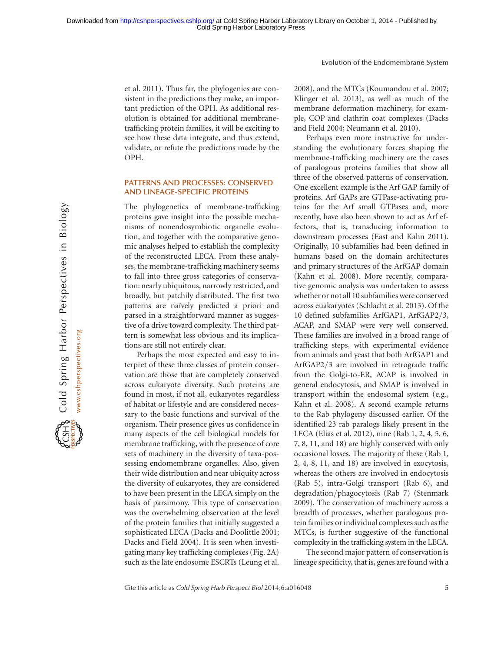et al. 2011). Thus far, the phylogenies are consistent in the predictions they make, an important prediction of the OPH. As additional resolution is obtained for additional membranetrafficking protein families, it will be exciting to see how these data integrate, and thus extend, validate, or refute the predictions made by the OPH.

## PATTERNS AND PROCESSES: CONSERVED AND LINEAGE-SPECIFIC PROTEINS

The phylogenetics of membrane-trafficking proteins gave insight into the possible mechanisms of nonendosymbiotic organelle evolution, and together with the comparative genomic analyses helped to establish the complexity of the reconstructed LECA. From these analyses, the membrane-trafficking machinery seems to fall into three gross categories of conservation: nearly ubiquitous, narrowly restricted, and broadly, but patchily distributed. The first two patterns are naïvely predicted a priori and parsed in a straightforward manner as suggestive of a drive toward complexity. The third pattern is somewhat less obvious and its implications are still not entirely clear.

Perhaps the most expected and easy to interpret of these three classes of protein conservation are those that are completely conserved across eukaryote diversity. Such proteins are found in most, if not all, eukaryotes regardless of habitat or lifestyle and are considered necessary to the basic functions and survival of the organism. Their presence gives us confidence in many aspects of the cell biological models for membrane trafficking, with the presence of core sets of machinery in the diversity of taxa-possessing endomembrane organelles. Also, given their wide distribution and near ubiquity across the diversity of eukaryotes, they are considered to have been present in the LECA simply on the basis of parsimony. This type of conservation was the overwhelming observation at the level of the protein families that initially suggested a sophisticated LECA (Dacks and Doolittle 2001; Dacks and Field 2004). It is seen when investigating many key trafficking complexes (Fig. 2A) such as the late endosome ESCRTs (Leung et al.

2008), and the MTCs (Koumandou et al. 2007; Klinger et al. 2013), as well as much of the membrane deformation machinery, for example, COP and clathrin coat complexes (Dacks and Field 2004; Neumann et al. 2010).

Perhaps even more instructive for understanding the evolutionary forces shaping the membrane-trafficking machinery are the cases of paralogous proteins families that show all three of the observed patterns of conservation. One excellent example is the Arf GAP family of proteins. Arf GAPs are GTPase-activating proteins for the Arf small GTPases and, more recently, have also been shown to act as Arf effectors, that is, transducing information to downstream processes (East and Kahn 2011). Originally, 10 subfamilies had been defined in humans based on the domain architectures and primary structures of the ArfGAP domain (Kahn et al. 2008). More recently, comparative genomic analysis was undertaken to assess whether or not all 10 subfamilies were conserved across euakaryotes (Schlacht et al. 2013). Of the 10 defined subfamilies ArfGAP1, ArfGAP2/3, ACAP, and SMAP were very well conserved. These families are involved in a broad range of trafficking steps, with experimental evidence from animals and yeast that both ArfGAP1 and ArfGAP2/3 are involved in retrograde traffic from the Golgi-to-ER, ACAP is involved in general endocytosis, and SMAP is involved in transport within the endosomal system (e.g., Kahn et al. 2008). A second example returns to the Rab phylogeny discussed earlier. Of the identified 23 rab paralogs likely present in the LECA (Elias et al. 2012), nine (Rab 1, 2, 4, 5, 6, 7, 8, 11, and 18) are highly conserved with only occasional losses. The majority of these (Rab 1, 2, 4, 8, 11, and 18) are involved in exocytosis, whereas the others are involved in endocytosis (Rab 5), intra-Golgi transport (Rab 6), and degradation/phagocytosis (Rab 7) (Stenmark 2009). The conservation of machinery across a breadth of processes, whether paralogous protein families or individual complexes such as the MTCs, is further suggestive of the functional complexity in the trafficking system in the LECA.

The second major pattern of conservation is lineage specificity, that is, genes are found with a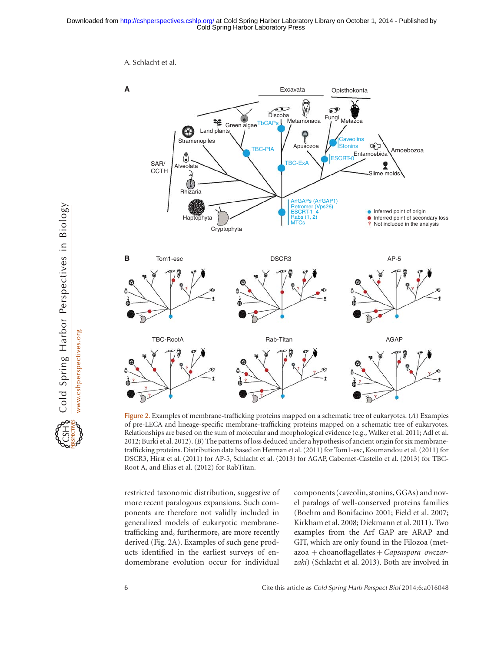A. Schlacht et al.



Figure 2. Examples of membrane-trafficking proteins mapped on a schematic tree of eukaryotes. (A) Examples of pre-LECA and lineage-specific membrane-trafficking proteins mapped on a schematic tree of eukaryotes. Relationships are based on the sum of molecular and morphological evidence (e.g., Walker et al. 2011; Adl et al. 2012; Burki et al. 2012). (B) The patterns of loss deduced under a hypothesis of ancient origin for six membranetrafficking proteins. Distribution data based on Herman et al. (2011) for Tom1-esc, Koumandou et al. (2011) for DSCR3, Hirst et al. (2011) for AP-5, Schlacht et al. (2013) for AGAP, Gabernet-Castello et al. (2013) for TBC-Root A, and Elias et al. (2012) for RabTitan.

restricted taxonomic distribution, suggestive of more recent paralogous expansions. Such components are therefore not validly included in generalized models of eukaryotic membranetrafficking and, furthermore, are more recently derived (Fig. 2A). Examples of such gene products identified in the earliest surveys of endomembrane evolution occur for individual

components (caveolin, stonins,GGAs) and novel paralogs of well-conserved proteins families (Boehm and Bonifacino 2001; Field et al. 2007; Kirkham et al. 2008; Diekmann et al. 2011). Two examples from the Arf GAP are ARAP and GIT, which are only found in the Filozoa (met $azoa + choanoflagellates + Capsaspora owczar$ zaki) (Schlacht et al. 2013). Both are involved in

6 Cite this article as Cold Spring Harb Perspect Biol 2014;6:a016048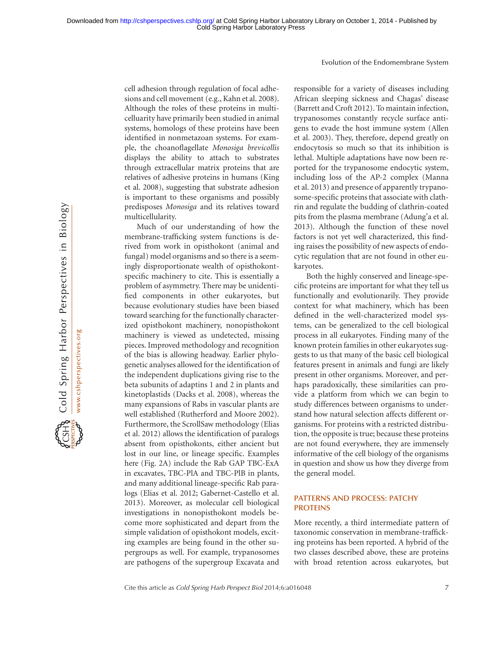cell adhesion through regulation of focal adhesions and cell movement (e.g., Kahn et al. 2008). Although the roles of these proteins in multicelluarity have primarily been studied in animal systems, homologs of these proteins have been identified in nonmetazoan systems. For example, the choanoflagellate Monosiga brevicollis displays the ability to attach to substrates through extracellular matrix proteins that are relatives of adhesive proteins in humans (King et al. 2008), suggesting that substrate adhesion is important to these organisms and possibly predisposes Monosiga and its relatives toward multicellularity.

Much of our understanding of how the membrane-trafficking system functions is derived from work in opisthokont (animal and fungal) model organisms and so there is a seemingly disproportionate wealth of opisthokontspecific machinery to cite. This is essentially a problem of asymmetry. There may be unidentified components in other eukaryotes, but because evolutionary studies have been biased toward searching for the functionally characterized opisthokont machinery, nonopisthokont machinery is viewed as undetected, missing pieces. Improved methodology and recognition of the bias is allowing headway. Earlier phylogenetic analyses allowed for the identification of the independent duplications giving rise to the beta subunits of adaptins 1 and 2 in plants and kinetoplastids (Dacks et al. 2008), whereas the many expansions of Rabs in vascular plants are well established (Rutherford and Moore 2002). Furthermore, the ScrollSaw methodology (Elias et al. 2012) allows the identification of paralogs absent from opisthokonts, either ancient but lost in our line, or lineage specific. Examples here (Fig. 2A) include the Rab GAP TBC-ExA in excavates, TBC-PlA and TBC-PlB in plants, and many additional lineage-specific Rab paralogs (Elias et al. 2012; Gabernet-Castello et al. 2013). Moreover, as molecular cell biological investigations in nonopisthokont models become more sophisticated and depart from the simple validation of opisthokont models, exciting examples are being found in the other supergroups as well. For example, trypanosomes are pathogens of the supergroup Excavata and

responsible for a variety of diseases including African sleeping sickness and Chagas' disease (Barrett and Croft 2012). To maintain infection, trypanosomes constantly recycle surface antigens to evade the host immune system (Allen et al. 2003). They, therefore, depend greatly on endocytosis so much so that its inhibition is lethal. Multiple adaptations have now been reported for the trypanosome endocytic system, including loss of the AP-2 complex (Manna et al. 2013) and presence of apparently trypanosome-specific proteins that associate with clathrin and regulate the budding of clathrin-coated pits from the plasma membrane (Adung'a et al. 2013). Although the function of these novel factors is not yet well characterized, this finding raises the possibility of new aspects of endocytic regulation that are not found in other eukaryotes.

Both the highly conserved and lineage-specific proteins are important for what they tell us functionally and evolutionarily. They provide context for what machinery, which has been defined in the well-characterized model systems, can be generalized to the cell biological process in all eukaryotes. Finding many of the known protein families in other eukaryotes suggests to us that many of the basic cell biological features present in animals and fungi are likely present in other organisms. Moreover, and perhaps paradoxically, these similarities can provide a platform from which we can begin to study differences between organisms to understand how natural selection affects different organisms. For proteins with a restricted distribution, the opposite is true; because these proteins are not found everywhere, they are immensely informative of the cell biology of the organisms in question and show us how they diverge from the general model.

# PATTERNS AND PROCESS: PATCHY **PROTEINS**

More recently, a third intermediate pattern of taxonomic conservation in membrane-trafficking proteins has been reported. A hybrid of the two classes described above, these are proteins with broad retention across eukaryotes, but

Cite this article as Cold Spring Harb Perspect Biol 2014;6:a016048 7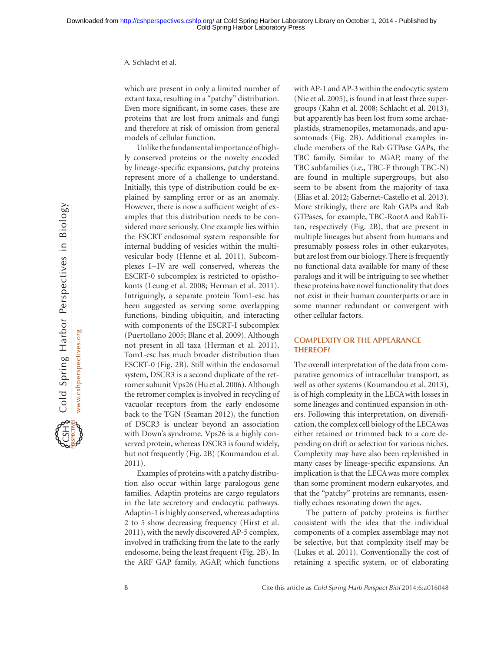which are present in only a limited number of extant taxa, resulting in a "patchy" distribution. Even more significant, in some cases, these are proteins that are lost from animals and fungi and therefore at risk of omission from general models of cellular function.

Unlike the fundamental importance of highly conserved proteins or the novelty encoded by lineage-specific expansions, patchy proteins represent more of a challenge to understand. Initially, this type of distribution could be explained by sampling error or as an anomaly. However, there is now a sufficient weight of examples that this distribution needs to be considered more seriously. One example lies within the ESCRT endosomal system responsible for internal budding of vesicles within the multivesicular body (Henne et al. 2011). Subcomplexes I-IV are well conserved, whereas the ESCRT-0 subcomplex is restricted to opisthokonts (Leung et al. 2008; Herman et al. 2011). Intriguingly, a separate protein Tom1-esc has been suggested as serving some overlapping functions, binding ubiquitin, and interacting with components of the ESCRT-I subcomplex (Puertollano 2005; Blanc et al. 2009). Although not present in all taxa (Herman et al. 2011), Tom1-esc has much broader distribution than ESCRT-0 (Fig. 2B). Still within the endosomal system, DSCR3 is a second duplicate of the retromer subunit Vps26 (Hu et al. 2006). Although the retromer complex is involved in recycling of vacuolar receptors from the early endosome back to the TGN (Seaman 2012), the function of DSCR3 is unclear beyond an association with Down's syndrome. Vps26 is a highly conserved protein, whereas DSCR3 is found widely, but not frequently (Fig. 2B) (Koumandou et al. 2011).

Examples of proteins with a patchy distribution also occur within large paralogous gene families. Adaptin proteins are cargo regulators in the late secretory and endocytic pathways. Adaptin-1 is highly conserved, whereas adaptins 2 to 5 show decreasing frequency (Hirst et al. 2011), with the newly discovered AP-5 complex, involved in trafficking from the late to the early endosome, being the least frequent (Fig. 2B). In the ARF GAP family, AGAP, which functions

with AP-1 and AP-3 within the endocytic system (Nie et al. 2005), is found in at least three supergroups (Kahn et al. 2008; Schlacht et al. 2013), but apparently has been lost from some archaeplastids, stramenopiles, metamonads, and apusomonads (Fig. 2B). Additional examples include members of the Rab GTPase GAPs, the TBC family. Similar to AGAP, many of the TBC subfamilies (i.e., TBC-F through TBC-N) are found in multiple supergroups, but also seem to be absent from the majority of taxa (Elias et al. 2012; Gabernet-Castello et al. 2013). More strikingly, there are Rab GAPs and Rab GTPases, for example, TBC-RootA and RabTitan, respectively (Fig. 2B), that are present in multiple lineages but absent from humans and presumably possess roles in other eukaryotes, but are lost from our biology. There is frequently no functional data available for many of these paralogs and it will be intriguing to see whether these proteins have novel functionality that does not exist in their human counterparts or are in some manner redundant or convergent with other cellular factors.

## COMPLEXITY OR THE APPEARANCE THEREOF?

The overall interpretation of the data from comparative genomics of intracellular transport, as well as other systems (Koumandou et al. 2013), is of high complexity in the LECAwith losses in some lineages and continued expansion in others. Following this interpretation, on diversification, the complex cell biology of the LECAwas either retained or trimmed back to a core depending on drift or selection for various niches. Complexity may have also been replenished in many cases by lineage-specific expansions. An implication is that the LECAwas more complex than some prominent modern eukaryotes, and that the "patchy" proteins are remnants, essentially echoes resonating down the ages.

The pattern of patchy proteins is further consistent with the idea that the individual components of a complex assemblage may not be selective, but that complexity itself may be (Lukes et al. 2011). Conventionally the cost of retaining a specific system, or of elaborating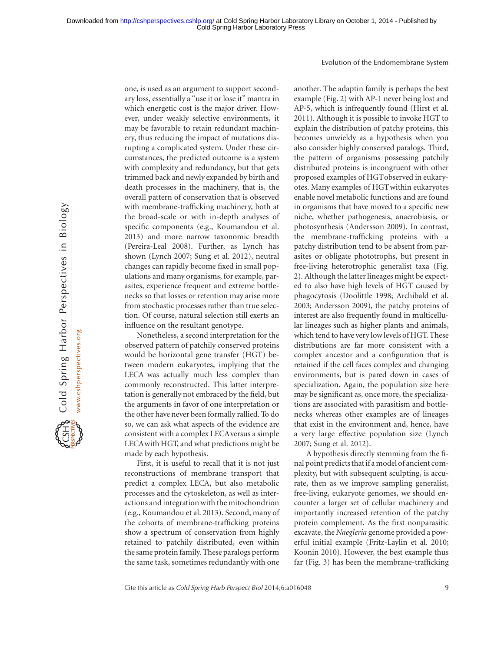Cold Spring Harbor Perspectives in Biology www.cshperspectives.org one, is used as an argument to support secondary loss, essentially a "use it or lose it" mantra in which energetic cost is the major driver. However, under weakly selective environments, it may be favorable to retain redundant machinery, thus reducing the impact of mutations disrupting a complicated system. Under these circumstances, the predicted outcome is a system with complexity and redundancy, but that gets trimmed back and newly expanded by birth and death processes in the machinery, that is, the overall pattern of conservation that is observed with membrane-trafficking machinery, both at the broad-scale or with in-depth analyses of specific components (e.g., Koumandou et al. 2013) and more narrow taxonomic breadth (Pereira-Leal 2008). Further, as Lynch has shown (Lynch 2007; Sung et al. 2012), neutral changes can rapidly become fixed in small populations and many organisms, for example, parasites, experience frequent and extreme bottlenecks so that losses or retention may arise more from stochastic processes rather than true selection. Of course, natural selection still exerts an influence on the resultant genotype.

Nonetheless, a second interpretation for the observed pattern of patchily conserved proteins would be horizontal gene transfer (HGT) between modern eukaryotes, implying that the LECA was actually much less complex than commonly reconstructed. This latter interpretation is generally not embraced by the field, but the arguments in favor of one interpretation or the other have never been formally rallied. To do so, we can ask what aspects of the evidence are consistent with a complex LECAversus a simple LECAwith HGT, and what predictions might be made by each hypothesis.

First, it is useful to recall that it is not just reconstructions of membrane transport that predict a complex LECA, but also metabolic processes and the cytoskeleton, as well as interactions and integration with the mitochondrion (e.g., Koumandou et al. 2013). Second, many of the cohorts of membrane-trafficking proteins show a spectrum of conservation from highly retained to patchily distributed, even within the same protein family. These paralogs perform the same task, sometimes redundantly with one another. The adaptin family is perhaps the best example (Fig. 2) with AP-1 never being lost and AP-5, which is infrequently found (Hirst et al. 2011). Although it is possible to invoke HGT to explain the distribution of patchy proteins, this becomes unwieldy as a hypothesis when you also consider highly conserved paralogs. Third, the pattern of organisms possessing patchily distributed proteins is incongruent with other proposed examples of HGTobserved in eukaryotes. Many examples of HGTwithin eukaryotes enable novel metabolic functions and are found in organisms that have moved to a specific new niche, whether pathogenesis, anaerobiasis, or photosynthesis (Andersson 2009). In contrast, the membrane-trafficking proteins with a patchy distribution tend to be absent from parasites or obligate phototrophs, but present in free-living heterotrophic generalist taxa (Fig. 2). Although the latter lineages might be expected to also have high levels of HGT caused by phagocytosis (Doolittle 1998; Archibald et al. 2003; Andersson 2009), the patchy proteins of interest are also frequently found in multicellular lineages such as higher plants and animals, which tend to have very low levels of HGT. These distributions are far more consistent with a complex ancestor and a configuration that is retained if the cell faces complex and changing environments, but is pared down in cases of specialization. Again, the population size here may be significant as, once more, the specializations are associated with parasitism and bottlenecks whereas other examples are of lineages that exist in the environment and, hence, have a very large effective population size (Lynch 2007; Sung et al. 2012).

A hypothesis directly stemming from the final point predicts that if a model of ancient complexity, but with subsequent sculpting, is accurate, then as we improve sampling generalist, free-living, eukaryote genomes, we should encounter a larger set of cellular machinery and importantly increased retention of the patchy protein complement. As the first nonparasitic excavate, the Naegleria genome provided a powerful initial example (Fritz-Laylin et al. 2010; Koonin 2010). However, the best example thus far (Fig. 3) has been the membrane-trafficking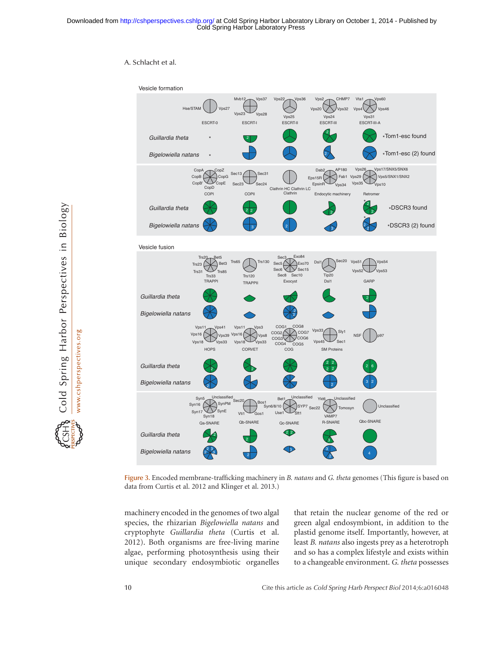

Figure 3. Encoded membrane-trafficking machinery in B. natans and G. theta genomes (This figure is based on data from Curtis et al. 2012 and Klinger et al. 2013.)

machinery encoded in the genomes of two algal species, the rhizarian Bigelowiella natans and cryptophyte Guillardia theta (Curtis et al. 2012). Both organisms are free-living marine algae, performing photosynthesis using their unique secondary endosymbiotic organelles that retain the nuclear genome of the red or green algal endosymbiont, in addition to the plastid genome itself. Importantly, however, at least B. natans also ingests prey as a heterotroph and so has a complex lifestyle and exists within to a changeable environment. G. theta possesses

10 Cite this article as Cold Spring Harb Perspect Biol 2014;6:a016048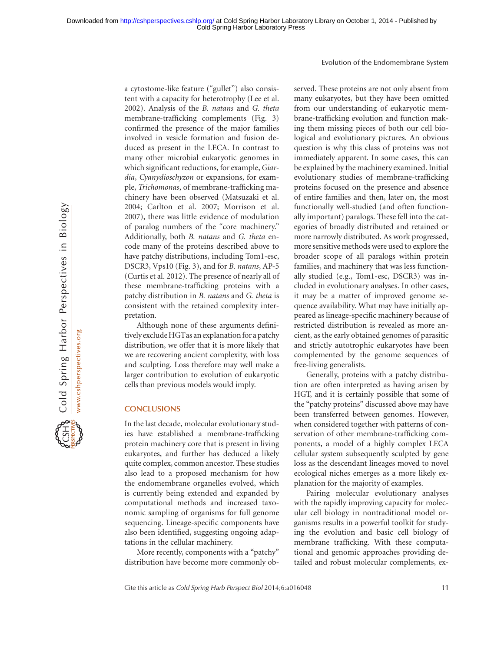Cold Spring Harbor Perspectives in Biology www.cshperspectives.org a cytostome-like feature ("gullet") also consistent with a capacity for heterotrophy (Lee et al. 2002). Analysis of the B. natans and G. theta membrane-trafficking complements (Fig. 3) confirmed the presence of the major families involved in vesicle formation and fusion deduced as present in the LECA. In contrast to many other microbial eukaryotic genomes in which significant reductions, for example, Giardia, Cyanydioschyzon or expansions, for example, Trichomonas, of membrane-trafficking machinery have been observed (Matsuzaki et al. 2004; Carlton et al. 2007; Morrison et al. 2007), there was little evidence of modulation of paralog numbers of the "core machinery." Additionally, both B. natans and G. theta encode many of the proteins described above to have patchy distributions, including Tom1-esc, DSCR3, Vps10 (Fig. 3), and for B. natans, AP-5 (Curtis et al. 2012). The presence of nearly all of these membrane-trafficking proteins with a patchy distribution in B. natans and G. theta is consistent with the retained complexity interpretation.

Although none of these arguments definitively exclude HGTas an explanation for a patchy distribution, we offer that it is more likely that we are recovering ancient complexity, with loss and sculpting. Loss therefore may well make a larger contribution to evolution of eukaryotic cells than previous models would imply.

#### **CONCLUSIONS**

In the last decade, molecular evolutionary studies have established a membrane-trafficking protein machinery core that is present in living eukaryotes, and further has deduced a likely quite complex, common ancestor. These studies also lead to a proposed mechanism for how the endomembrane organelles evolved, which is currently being extended and expanded by computational methods and increased taxonomic sampling of organisms for full genome sequencing. Lineage-specific components have also been identified, suggesting ongoing adaptations in the cellular machinery.

More recently, components with a "patchy" distribution have become more commonly observed. These proteins are not only absent from many eukaryotes, but they have been omitted from our understanding of eukaryotic membrane-trafficking evolution and function making them missing pieces of both our cell biological and evolutionary pictures. An obvious question is why this class of proteins was not immediately apparent. In some cases, this can be explained by the machinery examined. Initial evolutionary studies of membrane-trafficking proteins focused on the presence and absence of entire families and then, later on, the most functionally well-studied (and often functionally important) paralogs. These fell into the categories of broadly distributed and retained or more narrowly distributed. As work progressed, more sensitive methods were used to explore the broader scope of all paralogs within protein families, and machinery that was less functionally studied (e.g., Tom1-esc, DSCR3) was included in evolutionary analyses. In other cases, it may be a matter of improved genome sequence availability. What may have initially appeared as lineage-specific machinery because of restricted distribution is revealed as more ancient, as the early obtained genomes of parasitic and strictly autotrophic eukaryotes have been complemented by the genome sequences of free-living generalists.

Generally, proteins with a patchy distribution are often interpreted as having arisen by HGT, and it is certainly possible that some of the "patchy proteins" discussed above may have been transferred between genomes. However, when considered together with patterns of conservation of other membrane-trafficking components, a model of a highly complex LECA cellular system subsequently sculpted by gene loss as the descendant lineages moved to novel ecological niches emerges as a more likely explanation for the majority of examples.

Pairing molecular evolutionary analyses with the rapidly improving capacity for molecular cell biology in nontraditional model organisms results in a powerful toolkit for studying the evolution and basic cell biology of membrane trafficking. With these computational and genomic approaches providing detailed and robust molecular complements, ex-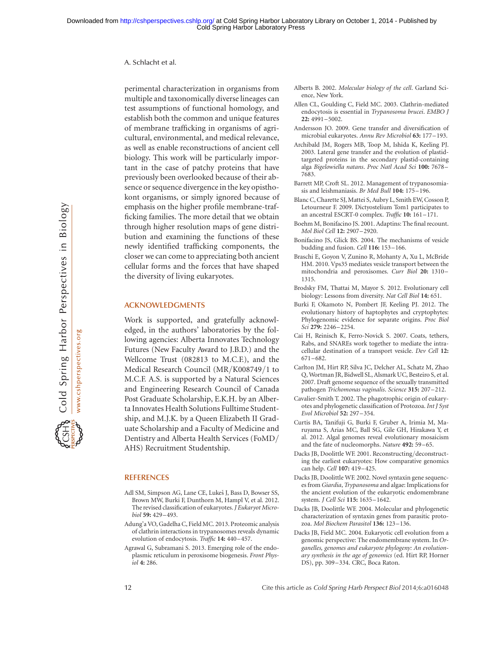perimental characterization in organisms from multiple and taxonomically diverse lineages can test assumptions of functional homology, and establish both the common and unique features of membrane trafficking in organisms of agricultural, environmental, and medical relevance, as well as enable reconstructions of ancient cell biology. This work will be particularly important in the case of patchy proteins that have previously been overlooked because of their absence or sequence divergence in the key opisthokont organisms, or simply ignored because of emphasis on the higher profile membrane-trafficking families. The more detail that we obtain through higher resolution maps of gene distribution and examining the functions of these newly identified trafficking components, the closer we can come to appreciating both ancient cellular forms and the forces that have shaped the diversity of living eukaryotes.

#### ACKNOWLEDGMENTS

Work is supported, and gratefully acknowledged, in the authors' laboratories by the following agencies: Alberta Innovates Technology Futures (New Faculty Award to J.B.D.) and the Wellcome Trust (082813 to M.C.F.), and the Medical Research Council (MR/K008749/1 to M.C.F. A.S. is supported by a Natural Sciences and Engineering Research Council of Canada Post Graduate Scholarship, E.K.H. by an Alberta Innovates Health Solutions Fulltime Studentship, and M.J.K. by a Queen Elizabeth II Graduate Scholarship and a Faculty of Medicine and Dentistry and Alberta Health Services (FoMD/ AHS) Recruitment Studentship.

#### REFERENCES

- Adl SM, Simpson AG, Lane CE, Lukeš J, Bass D, Bowser SS, Brown MW, Burki F, Dunthorn M, Hampl V, et al. 2012. The revised classification of eukaryotes. J Eukaryot Microbiol 59: 429–493.
- Adung'a VO, Gadelha C, Field MC. 2013. Proteomic analysis of clathrin interactions in trypanosomes reveals dynamic evolution of endocytosis. Traffic 14: 440–457.
- Agrawal G, Subramani S. 2013. Emerging role of the endoplasmic reticulum in peroxisome biogenesis. Front Physiol 4: 286.
- Alberts B. 2002. Molecular biology of the cell. Garland Science, New York.
- Allen CL, Goulding C, Field MC. 2003. Clathrin-mediated endocytosis is essential in Trypanosoma brucei. EMBO J 22: 4991–5002.
- Andersson JO. 2009. Gene transfer and diversification of microbial eukaryotes. Annu Rev Microbiol 63: 177–193.
- Archibald JM, Rogers MB, Toop M, Ishida K, Keeling PJ. 2003. Lateral gene transfer and the evolution of plastidtargeted proteins in the secondary plastid-containing alga Bigelowiella natans. Proc Natl Acad Sci 100: 7678– 7683.
- Barrett MP, Croft SL. 2012. Management of trypanosomiasis and leishmaniasis. Br Med Bull 104: 175–196.
- Blanc C, Charette SJ, Mattei S, Aubry L, Smith EW, Cosson P, Letourneur F. 2009. Dictyostelium Tom1 participates to an ancestral ESCRT-0 complex. Traffic 10: 161–171.
- Boehm M, Bonifacino JS. 2001. Adaptins: The final recount. Mol Biol Cell 12: 2907–2920.
- Bonifacino JS, Glick BS. 2004. The mechanisms of vesicle budding and fusion. Cell 116: 153-166.
- Braschi E, Goyon V, Zunino R, Mohanty A, Xu L, McBride HM. 2010. Vps35 mediates vesicle transport between the mitochondria and peroxisomes. Curr Biol 20: 1310– 1315.
- Brodsky FM, Thattai M, Mayor S. 2012. Evolutionary cell biology: Lessons from diversity. Nat Cell Biol 14: 651.
- Burki F, Okamoto N, Pombert JF, Keeling PJ. 2012. The evolutionary history of haptophytes and cryptophytes: Phylogenomic evidence for separate origins. Proc Biol Sci 279: 2246–2254.
- Cai H, Reinisch K, Ferro-Novick S. 2007. Coats, tethers, Rabs, and SNAREs work together to mediate the intracellular destination of a transport vesicle. Dev Cell 12:  $671 - 682.$
- Carlton JM, Hirt RP, Silva JC, Delcher AL, Schatz M, Zhao Q, Wortman JR, Bidwell SL, Alsmark UC, Besteiro S, et al. 2007. Draft genome sequence of the sexually transmitted pathogen Trichomonas vaginalis. Science 315: 207–212.
- Cavalier-Smith T. 2002. The phagotrophic origin of eukaryotes and phylogenetic classification of Protozoa. Int J Syst Evol Microbiol 52: 297 –354.
- Curtis BA, Tanifuji G, Burki F, Gruber A, Irimia M, Maruyama S, Arias MC, Ball SG, Gile GH, Hirakawa Y, et al. 2012. Algal genomes reveal evolutionary mosaicism and the fate of nucleomorphs. Nature 492: 59–65.
- Dacks JB, Doolittle WF. 2001. Reconstructing/deconstructing the earliest eukaryotes: How comparative genomics can help. Cell 107: 419–425.
- Dacks JB, Doolittle WF. 2002. Novel syntaxin gene sequences from Giardia, Trypanosoma and algae: Implications for the ancient evolution of the eukaryotic endomembrane system. J Cell Sci 115: 1635–1642.
- Dacks JB, Doolittle WF. 2004. Molecular and phylogenetic characterization of syntaxin genes from parasitic protozoa. Mol Biochem Parasitol 136: 123–136.
- Dacks JB, Field MC. 2004. Eukaryotic cell evolution from a genomic perspective: The endomembrane system. In Organelles, genomes and eukaryote phylogeny: An evolutionary synthesis in the age of genomics (ed. Hirt RP, Horner DS), pp. 309-334. CRC, Boca Raton.

12 Cite this article as Cold Spring Harb Perspect Biol 2014;6:a016048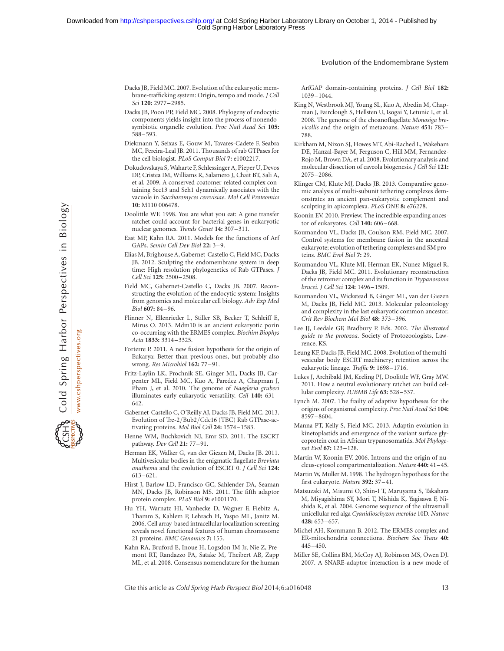- Dacks JB, Field MC. 2007. Evolution of the eukaryotic membrane-trafficking system: Origin, tempo and mode. J Cell Sci 120: 2977–2985.
- Dacks JB, Poon PP, Field MC. 2008. Phylogeny of endocytic components yields insight into the process of nonendosymbiotic organelle evolution. Proc Natl Acad Sci 105: 588–593.
- Diekmann Y, Seixas E, Gouw M, Tavares-Cadete F, Seabra MC, Pereira-Leal JB. 2011. Thousands of rab GTPases for the cell biologist. PLoS Comput Biol 7: e1002217.
- Dokudovskaya S, Waharte F, Schlessinger A, Pieper U, Devos DP, Cristea IM, Williams R, Salamero J, Chait BT, Sali A, et al. 2009. A conserved coatomer-related complex containing Sec13 and Seh1 dynamically associates with the vacuole in Saccharomyces cerevisiae. Mol Cell Proteomics 10: M110 006478.
- Doolittle WF. 1998. You are what you eat: A gene transfer ratchet could account for bacterial genes in eukaryotic nuclear genomes. Trends Genet 14: 307–311.
- East MP, Kahn RA. 2011. Models for the functions of Arf GAPs. Semin Cell Dev Biol 22: 3 –9.
- Elias M, Brighouse A, Gabernet-Castello C, Field MC, Dacks JB. 2012. Sculpting the endomembrane system in deep time: High resolution phylogenetics of Rab GTPases. J Cell Sci 125: 2500–2508.
- Field MC, Gabernet-Castello C, Dacks JB. 2007. Reconstructing the evolution of the endocytic system: Insights from genomics and molecular cell biology. Adv Exp Med Biol 607: 84–96.
- Flinner N, Ellenrieder L, Stiller SB, Becker T, Schleiff E, Mirus O. 2013. Mdm10 is an ancient eukaryotic porin co-occurring with the ERMES complex. Biochim Biophys Acta 1833: 3314–3325.
- Forterre P. 2011. A new fusion hypothesis for the origin of Eukarya: Better than previous ones, but probably also wrong. Res Microbiol 162: 77-91.
- Fritz-Laylin LK, Prochnik SE, Ginger ML, Dacks JB, Carpenter ML, Field MC, Kuo A, Paredez A, Chapman J, Pham J, et al. 2010. The genome of Naegleria gruberi illuminates early eukaryotic versatility. Cell 140: 631– 642.
- Gabernet-Castello C, O'Reilly AJ, Dacks JB, Field MC. 2013. Evolution of Tre-2/Bub2/Cdc16 (TBC) Rab GTPase-activating proteins. Mol Biol Cell 24: 1574–1583.
- Henne WM, Buchkovich NJ, Emr SD. 2011. The ESCRT pathway. Dev Cell 21: 77–91.
- Herman EK, Walker G, van der Giezen M, Dacks JB. 2011. Multivesicular bodies in the enigmatic flagellate Breviata anathema and the evolution of ESCRT 0. J Cell Sci 124: 613–621.
- Hirst J, Barlow LD, Francisco GC, Sahlender DA, Seaman MN, Dacks JB, Robinson MS. 2011. The fifth adaptor protein complex. PLoS Biol 9: e1001170.
- Hu YH, Warnatz HJ, Vanhecke D, Wagner F, Fiebitz A, Thamm S, Kahlem P, Lehrach H, Yaspo ML, Janitz M. 2006. Cell array-based intracellular localization screening reveals novel functional features of human chromosome 21 proteins. BMC Genomics 7: 155.
- Kahn RA, Bruford E, Inoue H, Logsdon JM Jr, Nie Z, Premont RT, Randazzo PA, Satake M, Theibert AB, Zapp ML, et al. 2008. Consensus nomenclature for the human

ArfGAP domain-containing proteins. J Cell Biol 182: 1039–1044.

- King N, Westbrook MJ, Young SL, Kuo A, Abedin M, Chapman J, Fairclough S, Hellsten U, Isogai Y, Letunic I, et al. 2008. The genome of the choanoflagellate Monosiga brevicollis and the origin of metazoans. Nature 451: 783– 788.
- Kirkham M, Nixon SJ, Howes MT, Abi-Rached L, Wakeham DE, Hanzal-Bayer M, Ferguson C, Hill MM, Fernandez-Rojo M, Brown DA, et al. 2008. Evolutionary analysis and molecular dissection of caveola biogenesis. J Cell Sci 121: 2075–2086.
- Klinger CM, Klute MJ, Dacks JB. 2013. Comparative genomic analysis of multi-subunit tethering complexes demonstrates an ancient pan-eukaryotic complement and sculpting in apicomplexa. PLoS ONE 8: e76278.
- Koonin EV. 2010. Preview. The incredible expanding ancestor of eukaryotes. Cell 140: 606-668.
- Koumandou VL, Dacks JB, Coulson RM, Field MC. 2007. Control systems for membrane fusion in the ancestral eukaryote; evolution of tethering complexes and SM proteins. BMC Evol Biol 7: 29.
- Koumandou VL, Klute MJ, Herman EK, Nunez-Miguel R, Dacks JB, Field MC. 2011. Evolutionary reconstruction of the retromer complex and its function in Trypanosoma brucei. J Cell Sci 124: 1496–1509.
- Koumandou VL, Wickstead B, Ginger ML, van der Giezen M, Dacks JB, Field MC. 2013. Molecular paleontology and complexity in the last eukaryotic common ancestor. Crit Rev Biochem Mol Biol 48: 373–396.
- Lee JJ, Leedale GF, Bradbury P. Eds. 2002. The illustrated guide to the protozoa. Society of Protozoologists, Lawrence, KS.
- Leung KF, Dacks JB, Field MC. 2008. Evolution of the multivesicular body ESCRT machinery; retention across the eukaryotic lineage. Traffic 9: 1698-1716.
- Lukes J, Archibald JM, Keeling PJ, Doolittle WF, Gray MW. 2011. How a neutral evolutionary ratchet can build cellular complexity. IUBMB Life 63: 528–537.
- Lynch M. 2007. The frailty of adaptive hypotheses for the origins of organismal complexity. Proc Natl Acad Sci 104: 8597–8604.
- Manna PT, Kelly S, Field MC. 2013. Adaptin evolution in kinetoplastids and emergence of the variant surface glycoprotein coat in African trypanosomatids. Mol Phylogenet Evol 67: 123 –128.
- Martin W, Koonin EV. 2006. Introns and the origin of nucleus-cytosol compartmentalization. Nature 440: 41–45.
- Martin W, Muller M. 1998. The hydrogen hypothesis for the first eukaryote. Nature 392: 37–41.
- Matsuzaki M, Misumi O, Shin-I T, Maruyama S, Takahara M, Miyagishima SY, Mori T, Nishida K, Yagisawa F, Nishida K, et al. 2004. Genome sequence of the ultrasmall unicellular red alga Cyanidioschyzon merolae 10D. Nature 428: 653–657.
- Michel AH, Kornmann B. 2012. The ERMES complex and ER-mitochondria connections. Biochem Soc Trans 40: 445 –450.
- Miller SE, Collins BM, McCoy AJ, Robinson MS, Owen DJ. 2007. A SNARE-adaptor interaction is a new mode of

Cite this article as Cold Spring Harb Perspect Biol 2014;6:a016048 13